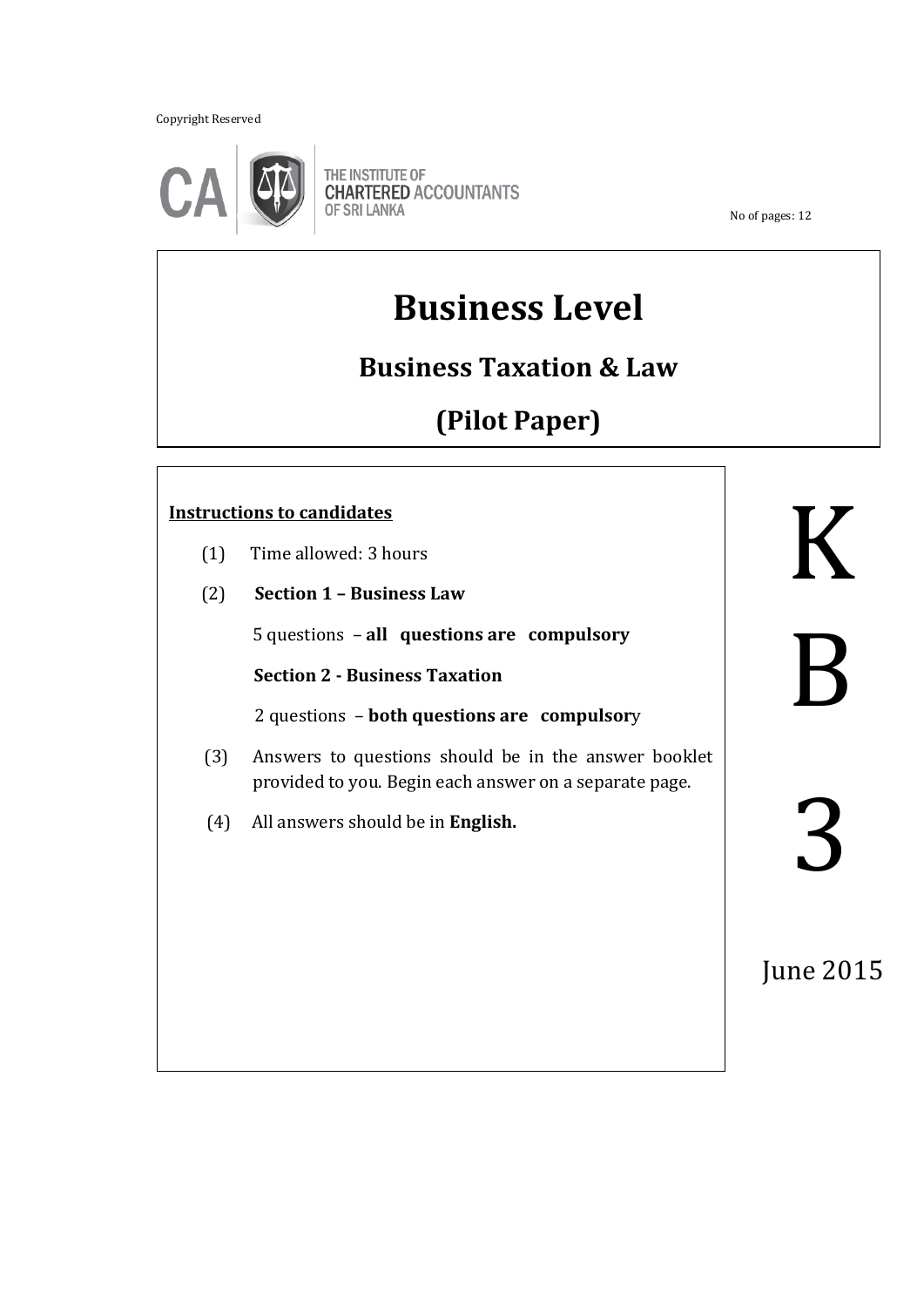Copyright Reserved



THE INSTITUTE OF **CHARTERED ACCOUNTANTS OF SRI LANKA** 

No of pages: 12

# **Business Level**

**Business Taxation & Law** 

**(Pilot Paper)**

## **Instructions to candidates**

- (1) Time allowed: 3 hours
- (2) **Section 1 – Business Law**

5 questions – **all questions are compulsory**

ֺ֖֚֝֬

 **Section 2 - Business Taxation**

2 questions – **both questions are compulsor**y

- (3) Answers to questions should be in the answer booklet provided to you. Begin each answer on a separate page.
- (4) All answers should be in **English.**

K B 3

June 2015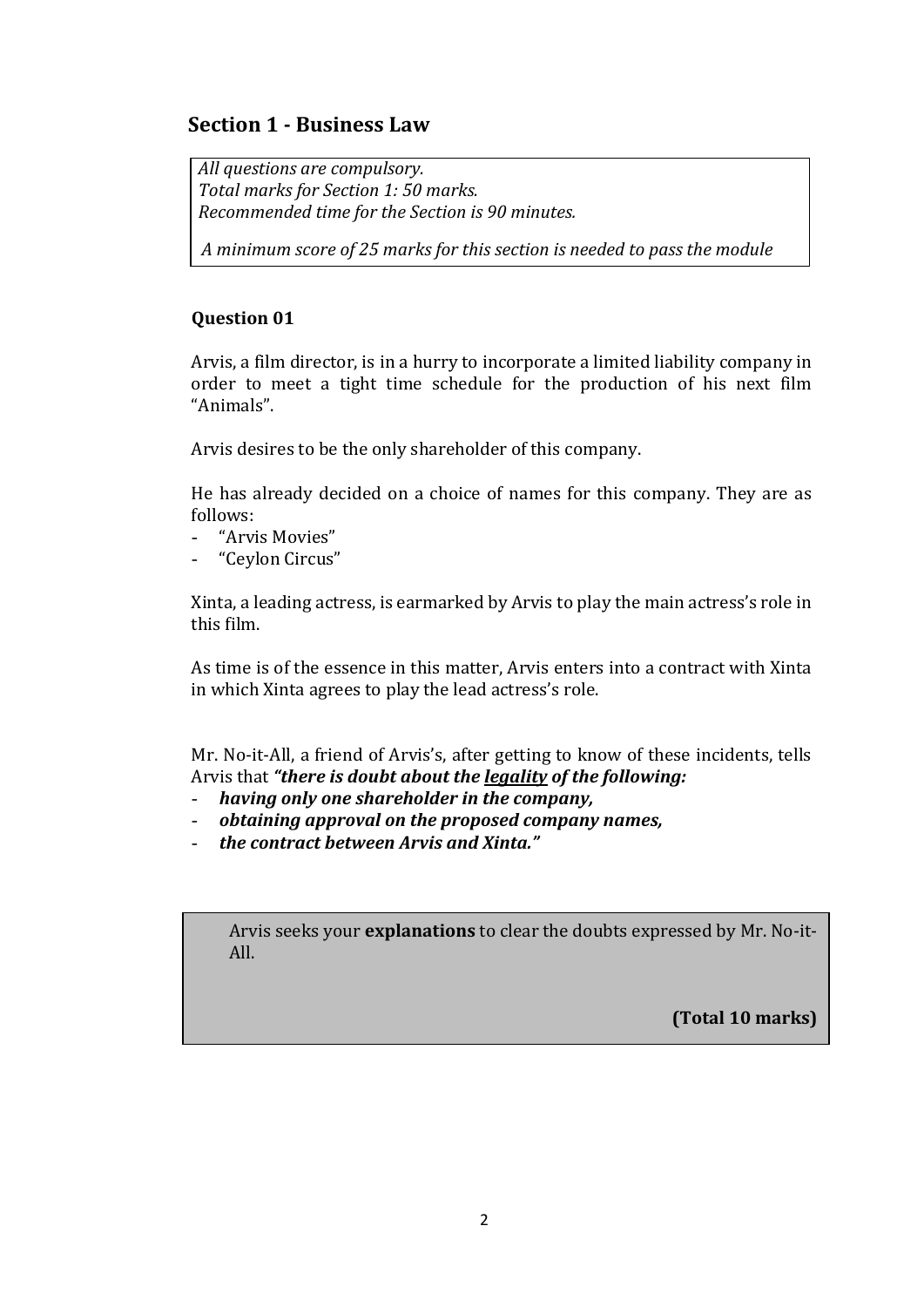## **Section 1 - Business Law**

*All questions are compulsory. Total marks for Section 1: 50 marks. Recommended time for the Section is 90 minutes.*

 *A minimum score of 25 marks for this section is needed to pass the module*

### **Question 01**

Arvis, a film director, is in a hurry to incorporate a limited liability company in order to meet a tight time schedule for the production of his next film "Animals".

Arvis desires to be the only shareholder of this company.

He has already decided on a choice of names for this company. They are as follows:

- "Arvis Movies"
- "Ceylon Circus"

Xinta, a leading actress, is earmarked by Arvis to play the main actress's role in this film.

As time is of the essence in this matter, Arvis enters into a contract with Xinta in which Xinta agrees to play the lead actress's role.

Mr. No-it-All, a friend of Arvis's, after getting to know of these incidents, tells Arvis that *"there is doubt about the legality of the following:*

- *having only one shareholder in the company,*
- *obtaining approval on the proposed company names,*
- *the contract between Arvis and Xinta."*

Arvis seeks your **explanations** to clear the doubts expressed by Mr. No-it-All.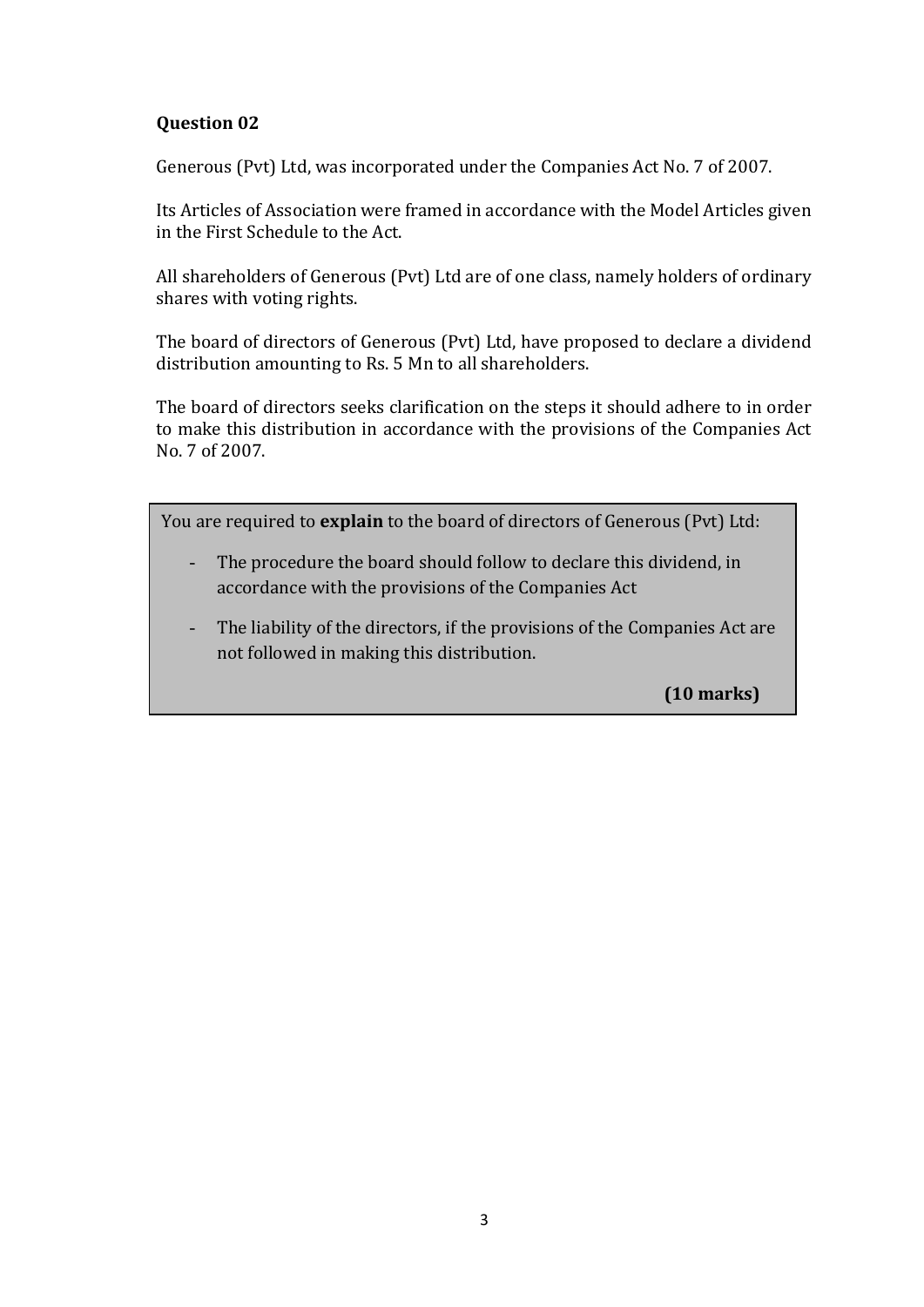Generous (Pvt) Ltd, was incorporated under the Companies Act No. 7 of 2007.

Its Articles of Association were framed in accordance with the Model Articles given in the First Schedule to the Act.

All shareholders of Generous (Pvt) Ltd are of one class, namely holders of ordinary shares with voting rights.

The board of directors of Generous (Pvt) Ltd, have proposed to declare a dividend distribution amounting to Rs. 5 Mn to all shareholders.

The board of directors seeks clarification on the steps it should adhere to in order to make this distribution in accordance with the provisions of the Companies Act No. 7 of 2007.

You are required to **explain** to the board of directors of Generous (Pvt) Ltd:

- The procedure the board should follow to declare this dividend, in accordance with the provisions of the Companies Act
- The liability of the directors, if the provisions of the Companies Act are not followed in making this distribution.

**(10 marks)**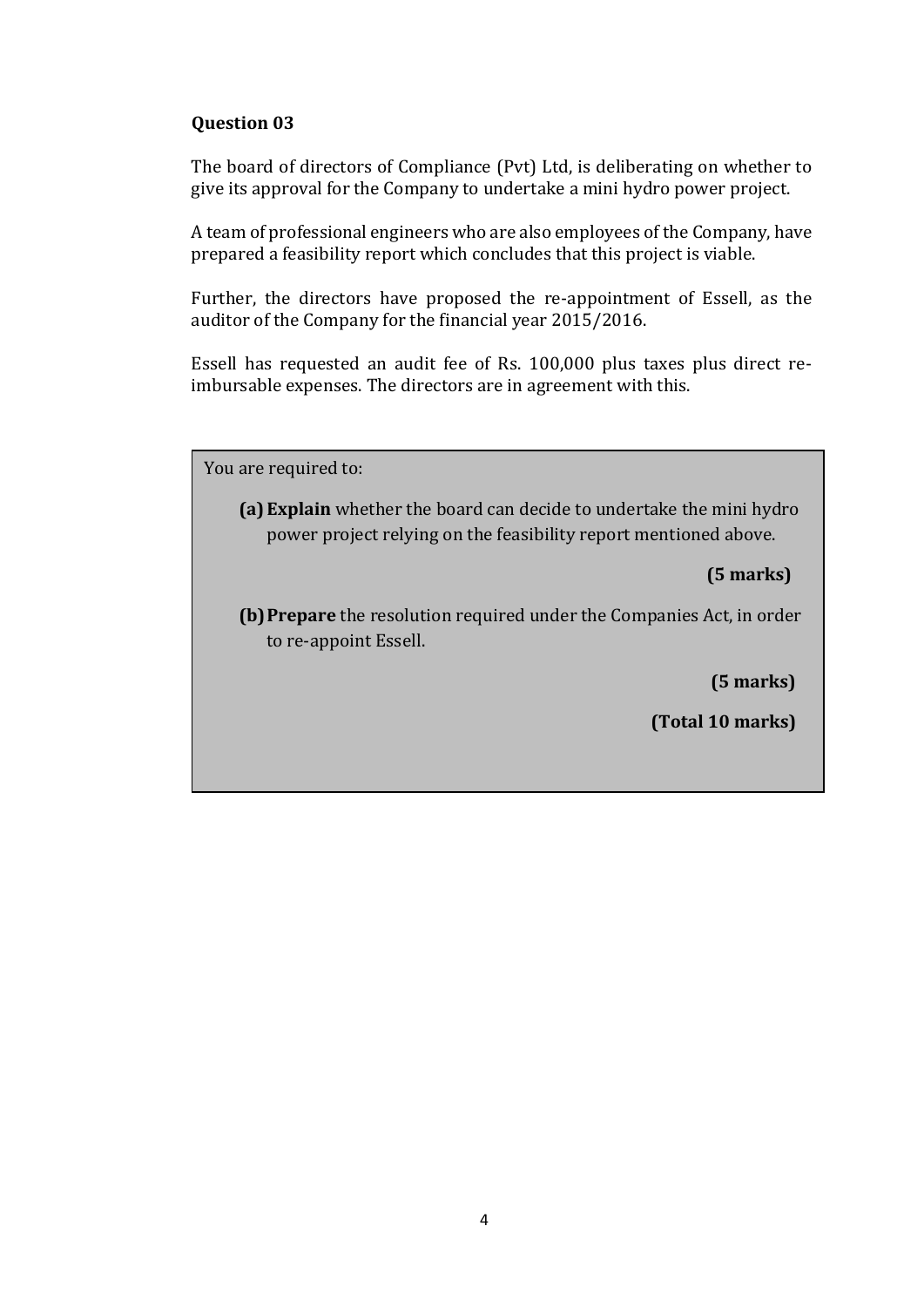The board of directors of Compliance (Pvt) Ltd, is deliberating on whether to give its approval for the Company to undertake a mini hydro power project.

A team of professional engineers who are also employees of the Company, have prepared a feasibility report which concludes that this project is viable.

Further, the directors have proposed the re-appointment of Essell, as the auditor of the Company for the financial year 2015/2016.

Essell has requested an audit fee of Rs. 100,000 plus taxes plus direct reimbursable expenses. The directors are in agreement with this.

You are required to:

**(a)Explain** whether the board can decide to undertake the mini hydro power project relying on the feasibility report mentioned above.

**(5 marks)**

**(b)Prepare** the resolution required under the Companies Act, in order to re-appoint Essell.

**(5 marks)**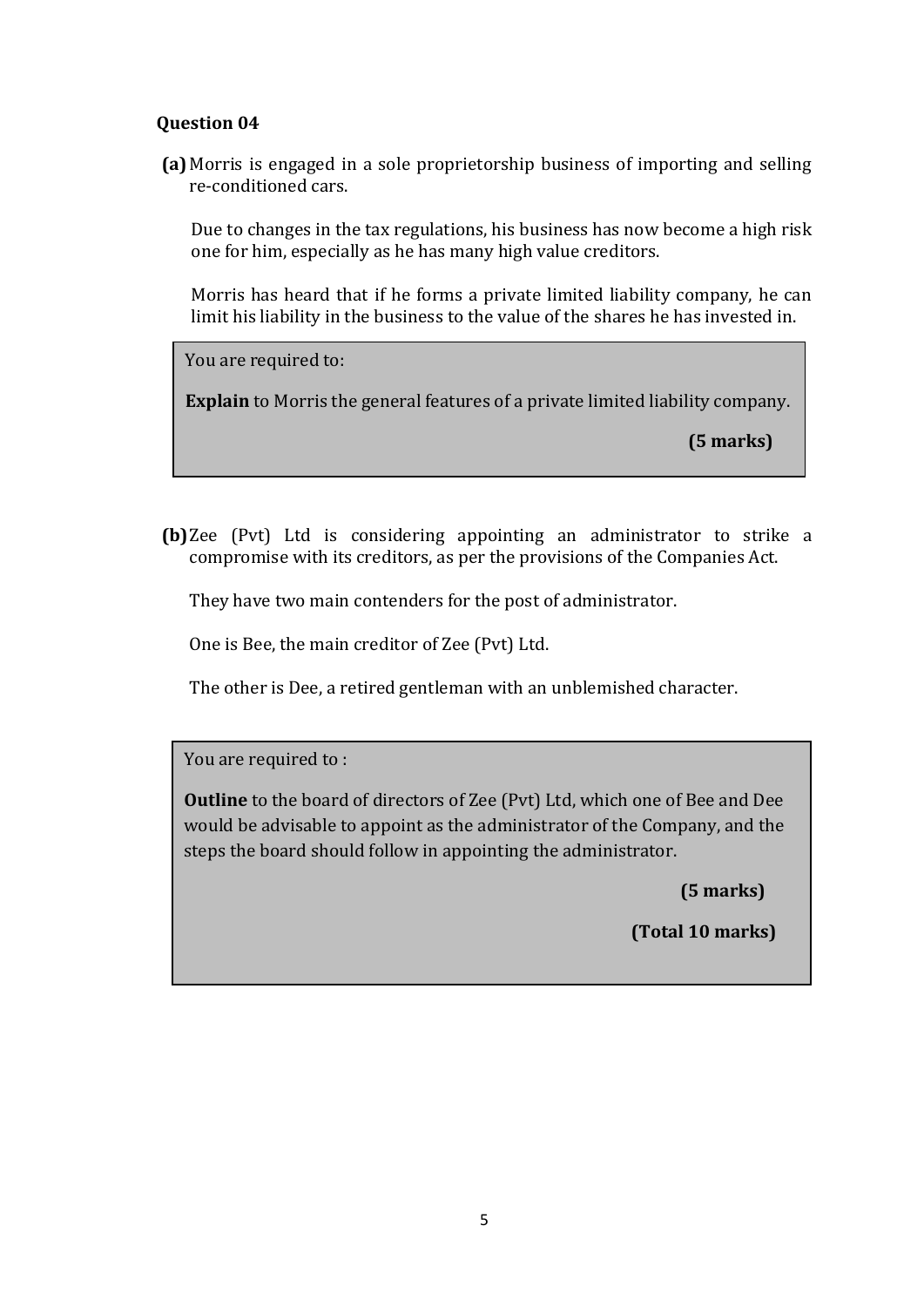**(a)** Morris is engaged in a sole proprietorship business of importing and selling re-conditioned cars.

Due to changes in the tax regulations, his business has now become a high risk one for him, especially as he has many high value creditors.

Morris has heard that if he forms a private limited liability company, he can limit his liability in the business to the value of the shares he has invested in.

You are required to:

**Explain** to Morris the general features of a private limited liability company.

**(5 marks)**

**(b)**Zee (Pvt) Ltd is considering appointing an administrator to strike a compromise with its creditors, as per the provisions of the Companies Act.

They have two main contenders for the post of administrator.

One is Bee, the main creditor of Zee (Pvt) Ltd.

The other is Dee, a retired gentleman with an unblemished character.

You are required to :

**Outline** to the board of directors of Zee (Pvt) Ltd, which one of Bee and Dee would be advisable to appoint as the administrator of the Company, and the steps the board should follow in appointing the administrator.

 **(5 marks)**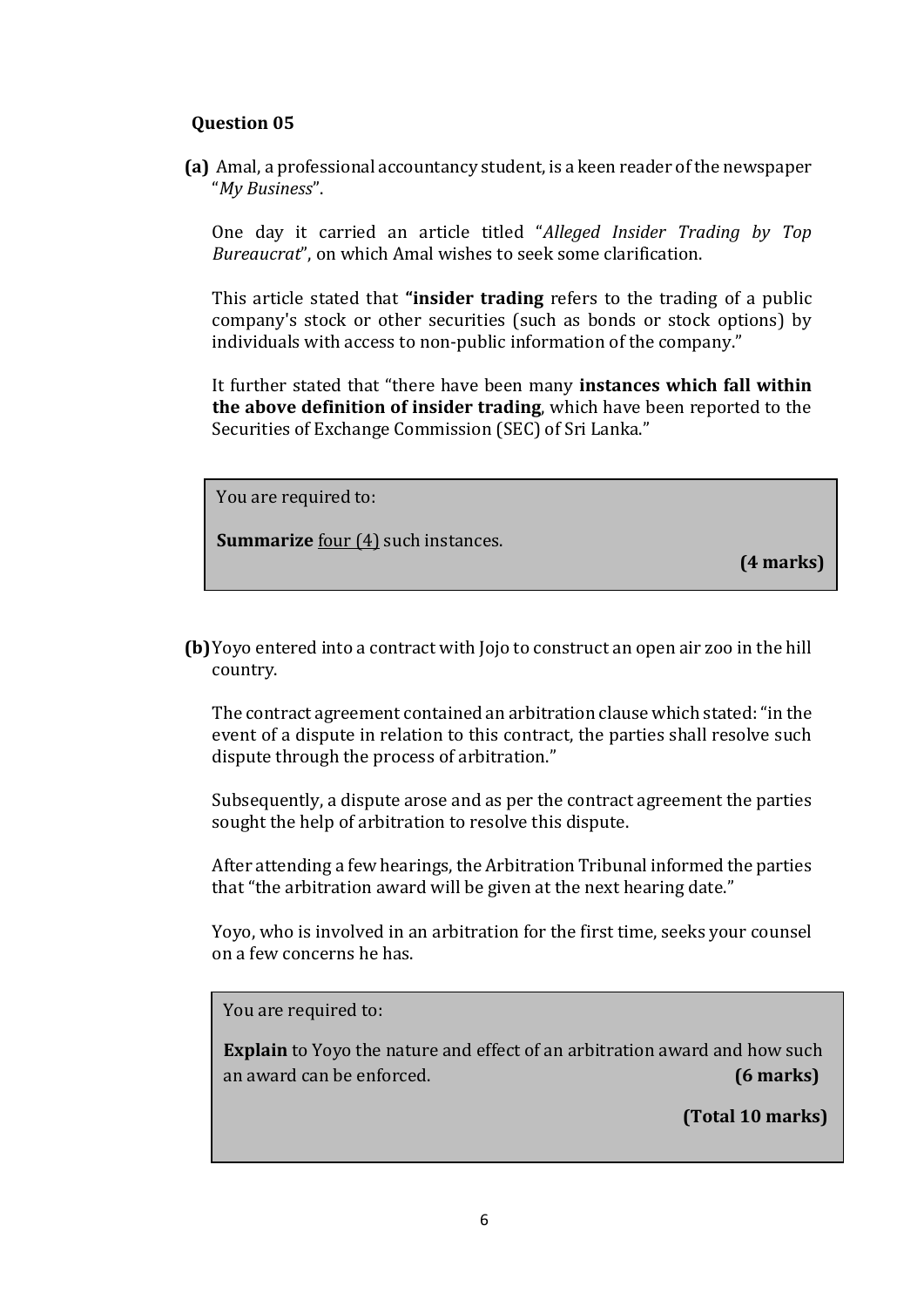**(a)** Amal, a professional accountancy student, is a keen reader of the newspaper "*My Business*".

One day it carried an article titled "*Alleged Insider Trading by Top Bureaucrat*", on which Amal wishes to seek some clarification.

This article stated that **"insider trading** refers to the trading of a public company's stock or other securities (such as bonds or stock options) by individuals with access to non-public information of the company."

It further stated that "there have been many **instances which fall within the above definition of insider trading**, which have been reported to the Securities of Exchange Commission (SEC) of Sri Lanka."

You are required to:

**Summarize** four (4) such instances.

**(4 marks)**

**(b)**Yoyo entered into a contract with Jojo to construct an open air zoo in the hill country.

The contract agreement contained an arbitration clause which stated:"in the event of a dispute in relation to this contract, the parties shall resolve such dispute through the process of arbitration."

Subsequently, a dispute arose and as per the contract agreement the parties sought the help of arbitration to resolve this dispute.

After attending a few hearings, the Arbitration Tribunal informed the parties that "the arbitration award will be given at the next hearing date."

Yoyo, who is involved in an arbitration for the first time, seeks your counsel on a few concerns he has.

You are required to:

**Explain** to Yoyo the nature and effect of an arbitration award and how such an award can be enforced. **(6 marks)**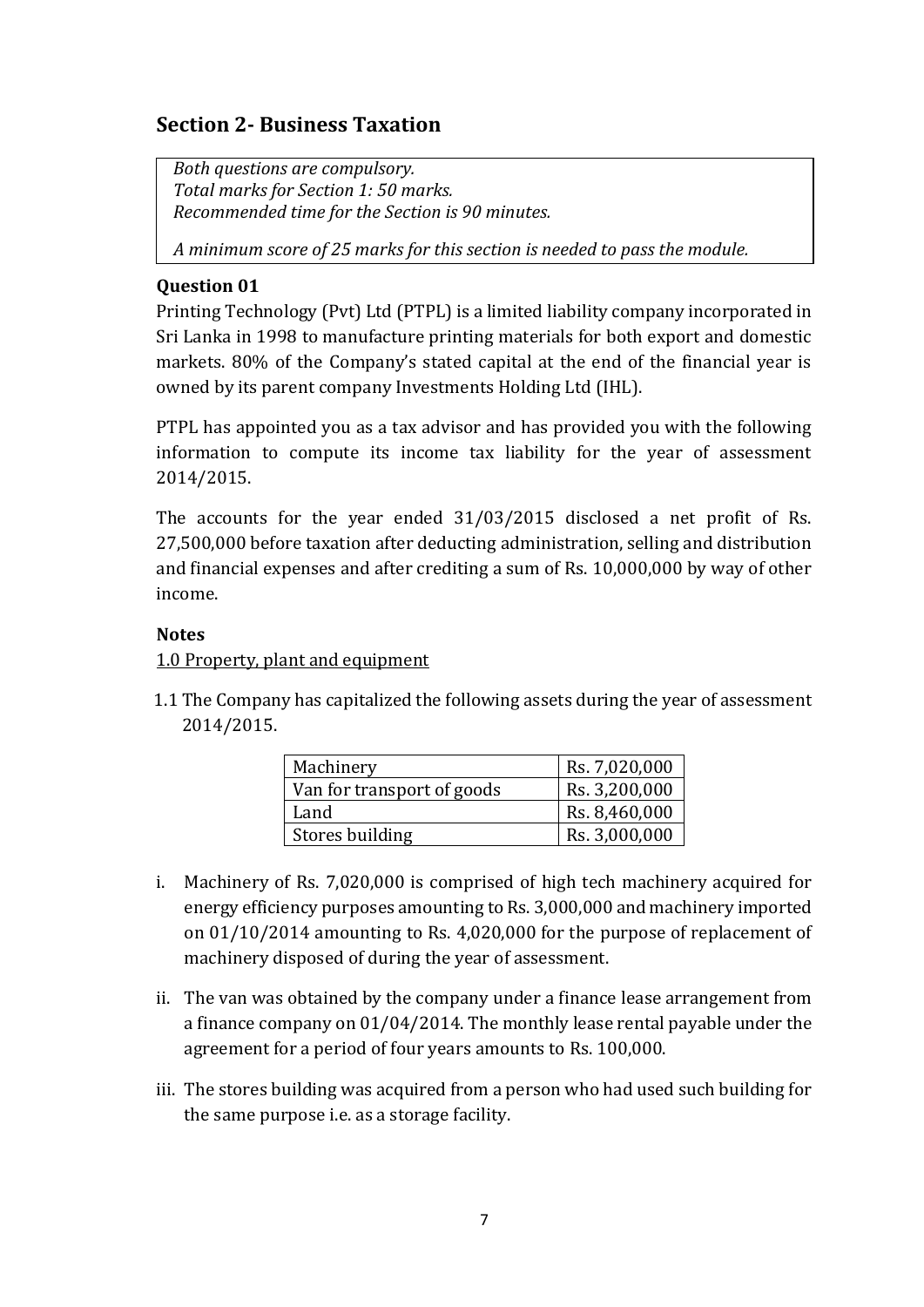# **Section 2- Business Taxation**

*Both questions are compulsory. Total marks for Section 1: 50 marks. Recommended time for the Section is 90 minutes.*

*A minimum score of 25 marks for this section is needed to pass the module.*

#### **Question 01**

Printing Technology (Pvt) Ltd (PTPL) is a limited liability company incorporated in Sri Lanka in 1998 to manufacture printing materials for both export and domestic markets. 80% of the Company's stated capital at the end of the financial year is owned by its parent company Investments Holding Ltd (IHL).

PTPL has appointed you as a tax advisor and has provided you with the following information to compute its income tax liability for the year of assessment 2014/2015.

The accounts for the year ended 31/03/2015 disclosed a net profit of Rs. 27,500,000 before taxation after deducting administration, selling and distribution and financial expenses and after crediting a sum of Rs. 10,000,000 by way of other income.

#### **Notes**

1.0 Property, plant and equipment

1.1 The Company has capitalized the following assets during the year of assessment 2014/2015.

| Machinery                  | Rs. 7,020,000 |
|----------------------------|---------------|
| Van for transport of goods | Rs. 3,200,000 |
| Land                       | Rs. 8,460,000 |
| Stores building            | Rs. 3,000,000 |

- i. Machinery of Rs. 7,020,000 is comprised of high tech machinery acquired for energy efficiency purposes amounting to Rs. 3,000,000 and machinery imported on 01/10/2014 amounting to Rs. 4,020,000 for the purpose of replacement of machinery disposed of during the year of assessment.
- ii. The van was obtained by the company under a finance lease arrangement from a finance company on 01/04/2014. The monthly lease rental payable under the agreement for a period of four years amounts to Rs. 100,000.
- iii. The stores building was acquired from a person who had used such building for the same purpose i.e. as a storage facility.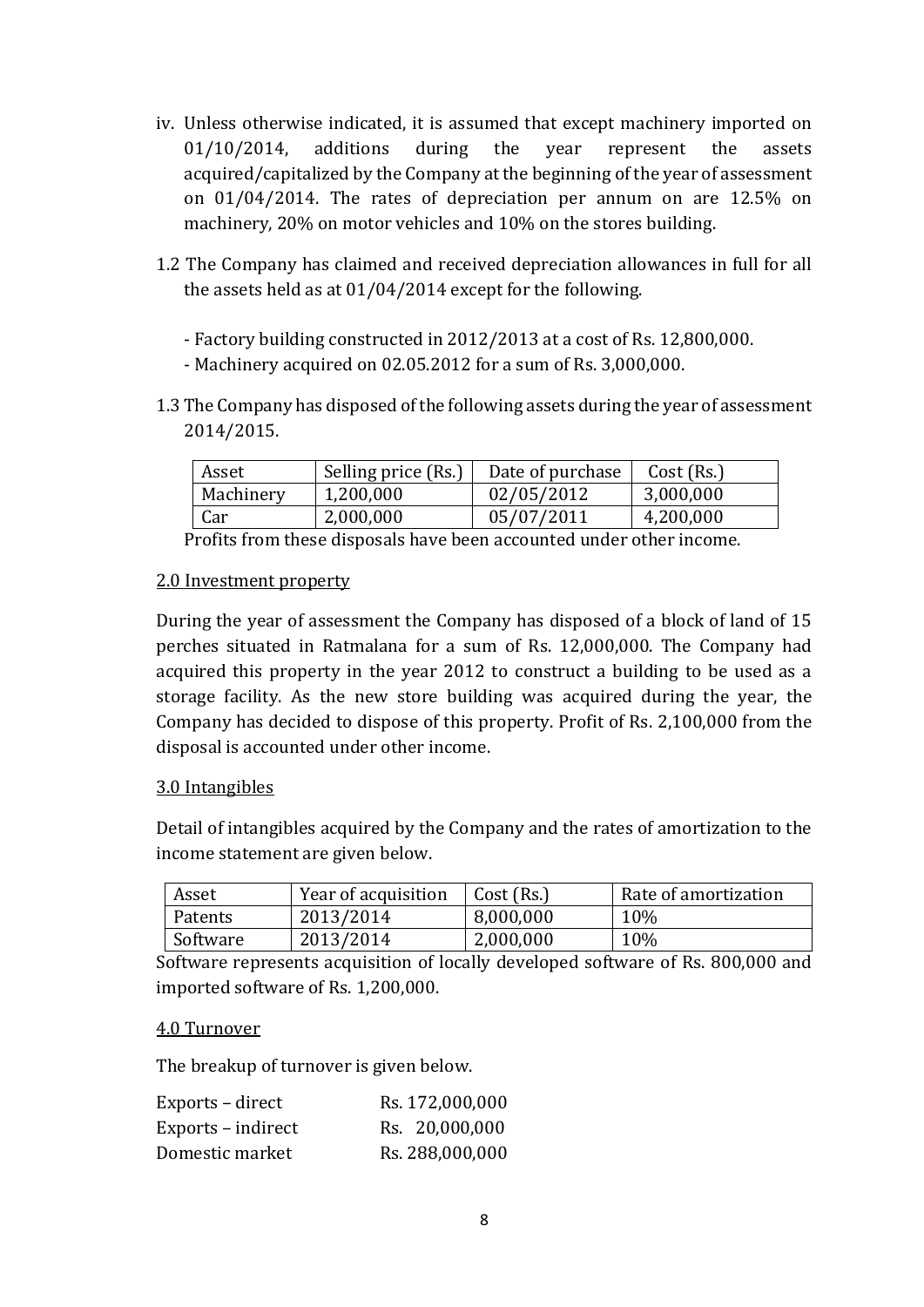- iv. Unless otherwise indicated, it is assumed that except machinery imported on 01/10/2014, additions during the year represent the assets acquired/capitalized by the Company at the beginning of the year of assessment on 01/04/2014. The rates of depreciation per annum on are 12.5% on machinery, 20% on motor vehicles and 10% on the stores building.
- 1.2 The Company has claimed and received depreciation allowances in full for all the assets held as at 01/04/2014 except for the following.
	- Factory building constructed in 2012/2013 at a cost of Rs. 12,800,000.
	- Machinery acquired on 02.05.2012 for a sum of Rs. 3,000,000.
- 1.3 The Company has disposed of the following assets during the year of assessment 2014/2015.

| Asset     | Selling price (Rs.) | Date of purchase | Cost (Rs.) |
|-----------|---------------------|------------------|------------|
| Machinery | 1,200,000           | 02/05/2012       | 3,000,000  |
| Car       | 2,000,000           | 05/07/2011       | 4,200,000  |

Profits from these disposals have been accounted under other income.

#### 2.0 Investment property

During the year of assessment the Company has disposed of a block of land of 15 perches situated in Ratmalana for a sum of Rs. 12,000,000. The Company had acquired this property in the year 2012 to construct a building to be used as a storage facility. As the new store building was acquired during the year, the Company has decided to dispose of this property. Profit of Rs. 2,100,000 from the disposal is accounted under other income.

### 3.0 Intangibles

Detail of intangibles acquired by the Company and the rates of amortization to the income statement are given below.

| Asset    | Year of acquisition | Cost (Rs.) | Rate of amortization |
|----------|---------------------|------------|----------------------|
| Patents  | 2013/2014           | 8,000,000  | 10%                  |
| Software | 2013/2014           | 2,000,000  | 10%                  |

Software represents acquisition of locally developed software of Rs. 800,000 and imported software of Rs. 1,200,000.

#### 4.0 Turnover

The breakup of turnover is given below.

| Exports – direct   | Rs. 172,000,000 |
|--------------------|-----------------|
| Exports – indirect | Rs. 20,000,000  |
| Domestic market    | Rs. 288,000,000 |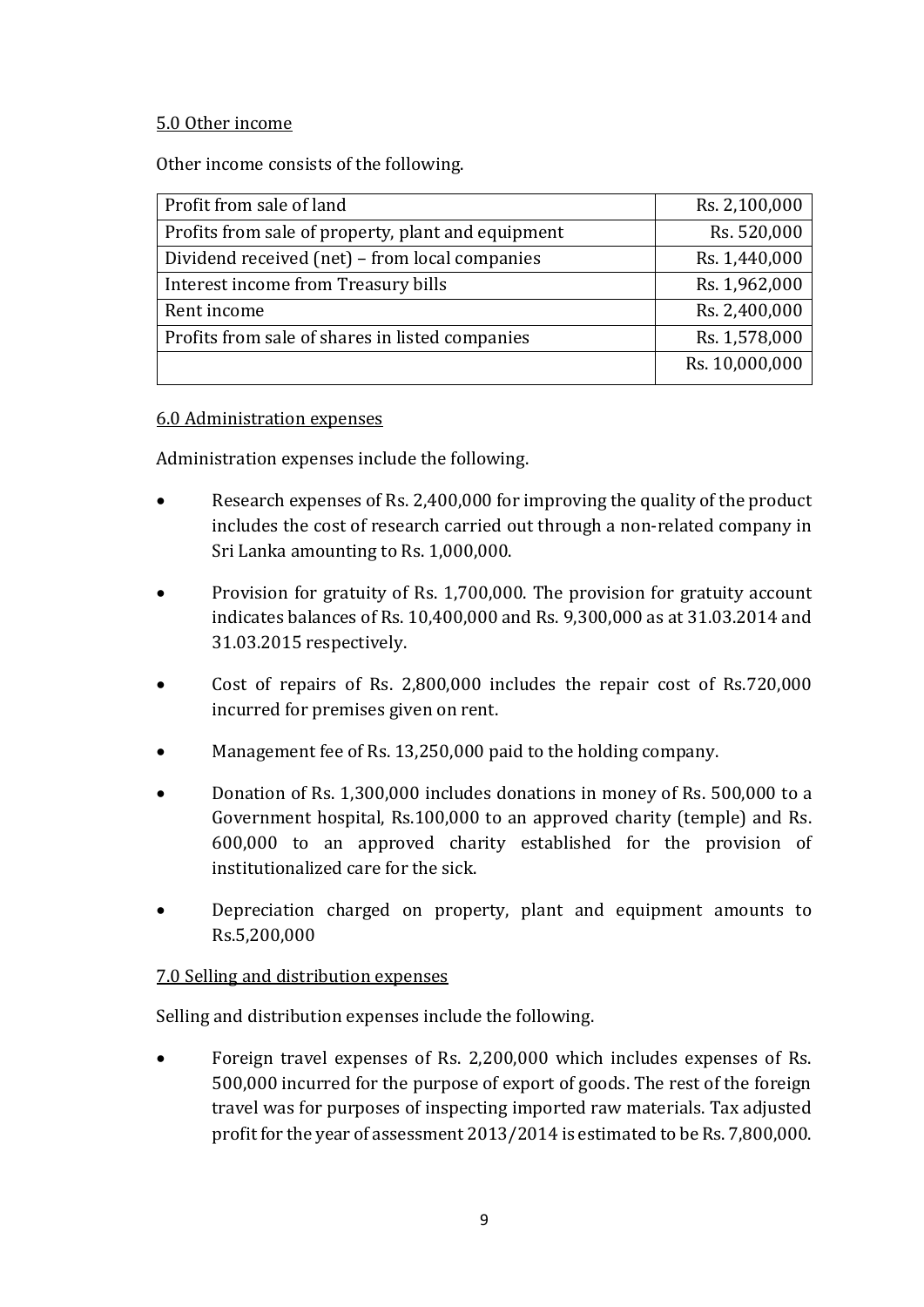### 5.0 Other income

Other income consists of the following.

| Profit from sale of land                           | Rs. 2,100,000  |
|----------------------------------------------------|----------------|
| Profits from sale of property, plant and equipment | Rs. 520,000    |
| Dividend received (net) – from local companies     | Rs. 1,440,000  |
| Interest income from Treasury bills                | Rs. 1,962,000  |
| Rent income                                        | Rs. 2,400,000  |
| Profits from sale of shares in listed companies    | Rs. 1,578,000  |
|                                                    | Rs. 10,000,000 |
|                                                    |                |

### 6.0 Administration expenses

Administration expenses include the following.

- Research expenses of Rs. 2,400,000 for improving the quality of the product includes the cost of research carried out through a non-related company in Sri Lanka amounting to Rs. 1,000,000.
- Provision for gratuity of Rs. 1,700,000. The provision for gratuity account indicates balances of Rs. 10,400,000 and Rs. 9,300,000 as at 31.03.2014 and 31.03.2015 respectively.
- Cost of repairs of Rs. 2,800,000 includes the repair cost of Rs.720,000 incurred for premises given on rent.
- Management fee of Rs. 13,250,000 paid to the holding company.
- Donation of Rs. 1,300,000 includes donations in money of Rs. 500,000 to a Government hospital, Rs.100,000 to an approved charity (temple) and Rs. 600,000 to an approved charity established for the provision of institutionalized care for the sick.
- Depreciation charged on property, plant and equipment amounts to Rs.5,200,000

### 7.0 Selling and distribution expenses

Selling and distribution expenses include the following.

 Foreign travel expenses of Rs. 2,200,000 which includes expenses of Rs. 500,000 incurred for the purpose of export of goods. The rest of the foreign travel was for purposes of inspecting imported raw materials. Tax adjusted profit for the year of assessment 2013/2014 is estimated to be Rs. 7,800,000.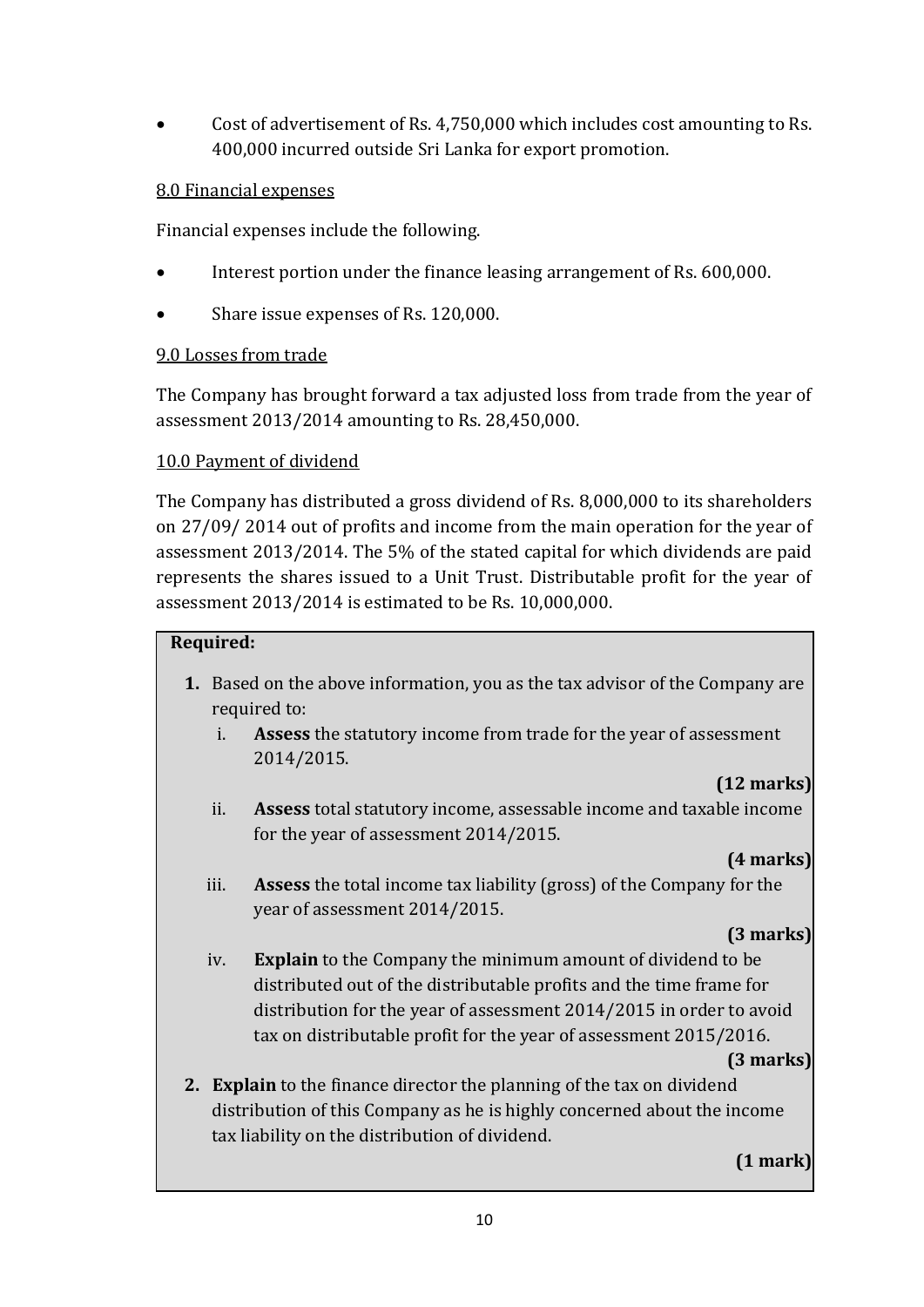Cost of advertisement of Rs. 4,750,000 which includes cost amounting to Rs. 400,000 incurred outside Sri Lanka for export promotion.

#### 8.0 Financial expenses

Financial expenses include the following.

- Interest portion under the finance leasing arrangement of Rs. 600,000.
- Share issue expenses of Rs. 120,000.

#### 9.0 Losses from trade

The Company has brought forward a tax adjusted loss from trade from the year of assessment 2013/2014 amounting to Rs. 28,450,000.

### 10.0 Payment of dividend

The Company has distributed a gross dividend of Rs. 8,000,000 to its shareholders on 27/09/ 2014 out of profits and income from the main operation for the year of assessment 2013/2014. The 5% of the stated capital for which dividends are paid represents the shares issued to a Unit Trust. Distributable profit for the year of assessment 2013/2014 is estimated to be Rs. 10,000,000.

#### **Required:**

- **1.** Based on the above information, you as the tax advisor of the Company are required to:
	- i. **Assess** the statutory income from trade for the year of assessment 2014/2015.

# **(12 marks)**

ii. **Assess** total statutory income, assessable income and taxable income for the year of assessment 2014/2015.

### **(4 marks)**

iii. **Assess** the total income tax liability (gross) of the Company for the year of assessment 2014/2015.

### **(3 marks)**

iv. **Explain** to the Company the minimum amount of dividend to be distributed out of the distributable profits and the time frame for distribution for the year of assessment 2014/2015 in order to avoid tax on distributable profit for the year of assessment 2015/2016.

#### **(3 marks)**

**2. Explain** to the finance director the planning of the tax on dividend distribution of this Company as he is highly concerned about the income tax liability on the distribution of dividend.

## **(1 mark)**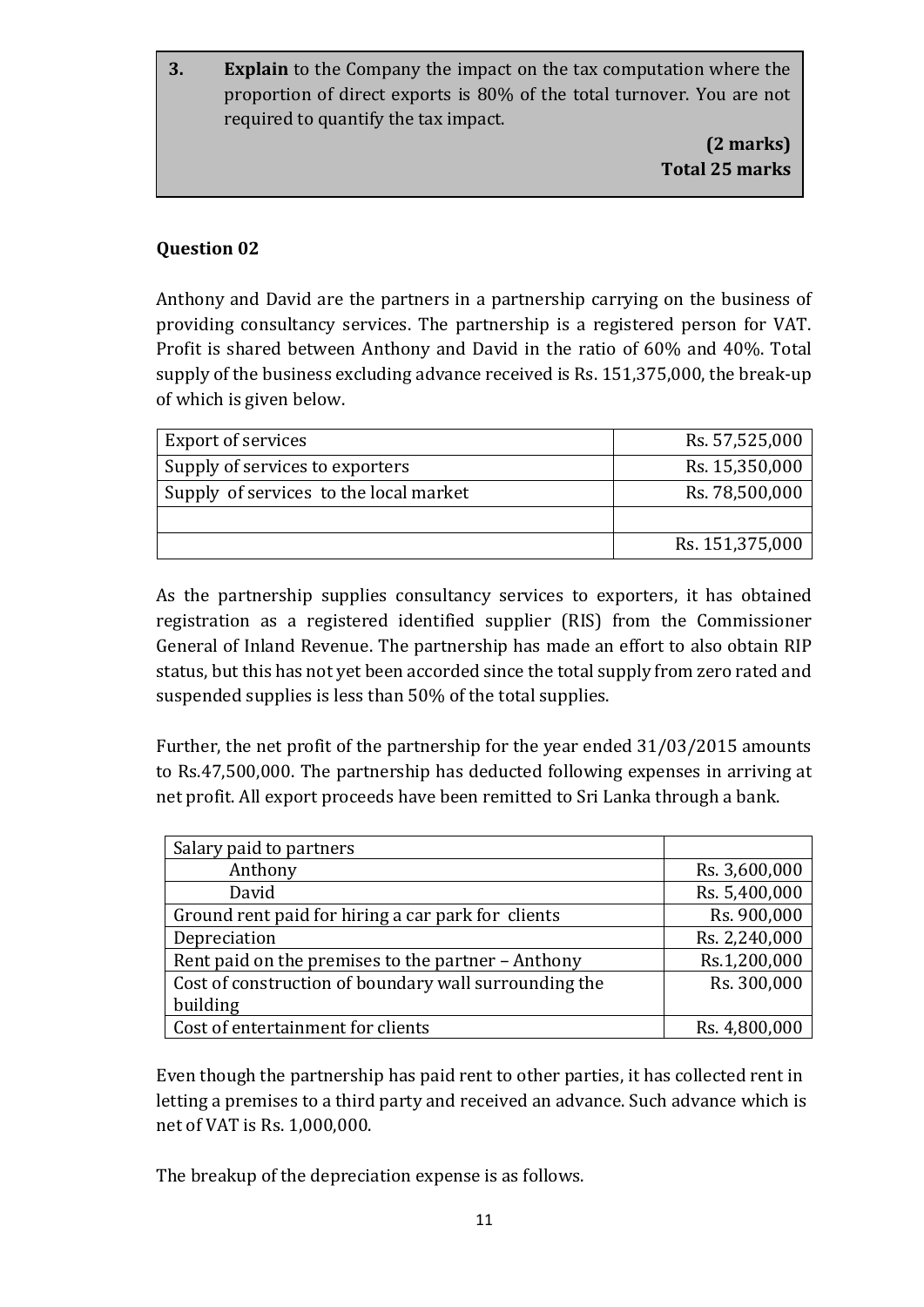**3. Explain** to the Company the impact on the tax computation where the proportion of direct exports is 80% of the total turnover. You are not required to quantify the tax impact.

> **(2 marks) Total 25 marks**

## **Question 02**

Anthony and David are the partners in a partnership carrying on the business of providing consultancy services. The partnership is a registered person for VAT. Profit is shared between Anthony and David in the ratio of 60% and 40%. Total supply of the business excluding advance received is Rs. 151,375,000, the break-up of which is given below.

| <b>Export of services</b>              | Rs. 57,525,000  |
|----------------------------------------|-----------------|
| Supply of services to exporters        | Rs. 15,350,000  |
| Supply of services to the local market | Rs. 78,500,000  |
|                                        |                 |
|                                        | Rs. 151,375,000 |

As the partnership supplies consultancy services to exporters, it has obtained registration as a registered identified supplier (RIS) from the Commissioner General of Inland Revenue. The partnership has made an effort to also obtain RIP status, but this has not yet been accorded since the total supply from zero rated and suspended supplies is less than 50% of the total supplies.

Further, the net profit of the partnership for the year ended 31/03/2015 amounts to Rs.47,500,000. The partnership has deducted following expenses in arriving at net profit. All export proceeds have been remitted to Sri Lanka through a bank.

| Salary paid to partners                               |               |
|-------------------------------------------------------|---------------|
| Anthony                                               | Rs. 3,600,000 |
| David                                                 | Rs. 5,400,000 |
| Ground rent paid for hiring a car park for clients    | Rs. 900,000   |
| Depreciation                                          | Rs. 2,240,000 |
| Rent paid on the premises to the partner - Anthony    | Rs.1,200,000  |
| Cost of construction of boundary wall surrounding the | Rs. 300,000   |
| building                                              |               |
| Cost of entertainment for clients                     | Rs. 4,800,000 |

Even though the partnership has paid rent to other parties, it has collected rent in letting a premises to a third party and received an advance. Such advance which is net of VAT is Rs. 1,000,000.

The breakup of the depreciation expense is as follows.